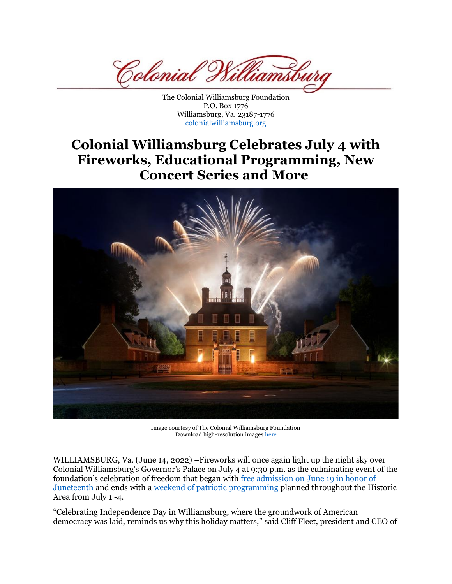Colonial <sup>7</sup> amsi

The Colonial Williamsburg Foundation P.O. Box 1776 Williamsburg, Va. 23187-1776 [colonialwilliamsburg.org](http://www.colonialwilliamsburg.org/)

## **Colonial Williamsburg Celebrates July 4 with Fireworks, Educational Programming, New Concert Series and More**



Image courtesy of The Colonial Williamsburg Foundation Download high-resolution images [here](https://cwf.mediavalet.com/galleries/6cb85f9a-b37b-46ab-a3d9-4e5bcf9a5b63_31cfc5d5-8b8a-47ee-abc2-06061ffc044a-ExternalUser)

WILLIAMSBURG, Va. (June 14, 2022) –Fireworks will once again light up the night sky over Colonial Williamsburg's Governor's Palace on July 4 at 9:30 p.m. as the culminating event of the foundation's celebration of freedom that began with [free admission on June 19 in honor of](https://www.colonialwilliamsburg.org/explore/special-event/celebrate-juneteenth/)  [Juneteenth](https://www.colonialwilliamsburg.org/explore/special-event/celebrate-juneteenth/) and ends with a weekend [of patriotic programming](https://www.colonialwilliamsburg.org/explore/special-event/july-4/) planned throughout the Historic Area from July 1 -4.

"Celebrating Independence Day in Williamsburg, where the groundwork of American democracy was laid, reminds us why this holiday matters," said Cliff Fleet, president and CEO of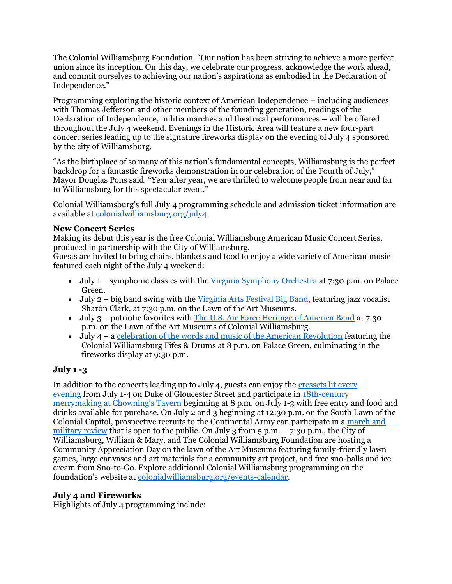The Colonial Williamsburg Foundation. "Our nation has been striving to achieve a more perfect union since its inception. On this day, we celebrate our progress, acknowledge the work ahead, and commit ourselves to achieving our nation's aspirations as embodied in the Declaration of Independence."

Programming exploring the historic context of American Independence – including audiences with Thomas Jefferson and other members of the founding generation, readings of the Declaration of Independence, militia marches and theatrical performances – will be offered throughout the July 4 weekend. Evenings in the Historic Area will feature a new four-part concert series leading up to the signature fireworks display on the evening of July 4 sponsored by the city of Williamsburg.

"As the birthplace of so many of this nation's fundamental concepts, Williamsburg is the perfect backdrop for a fantastic fireworks demonstration in our celebration of the Fourth of July," Mayor Douglas Pons said. "Year after year, we are thrilled to welcome people from near and far to Williamsburg for this spectacular event."

Colonial Williamsburg's full July 4 programming schedule and admission ticket information are available at [colonialwilliamsburg.org/july4.](http://www.colonialwilliamsburg.org/explore/special-event/july-4/)

## **New Concert Series**

Making its debut this year is the free Colonial Williamsburg American Music Concert Series, produced in partnership with the City of Williamsburg.

Guests are invited to bring chairs, blankets and food to enjoy a wide variety of American music featured each night of the July 4 weekend:

- July 1 symphonic classics with the [Virginia Symphony Orchestra](https://www.colonialwilliamsburg.org/events/a-star-spangled-symphony/) at 7:30 p.m. on Palace Green.
- July 2 big band swing with the [Virginia Arts Festival Big Band,](https://www.colonialwilliamsburg.org/events/virginia-arts-festival-big-band/) featuring jazz vocalist Sharón Clark, at 7:30 p.m. on the Lawn of the Art Museums.
- July 3 patriotic favorites with [The U.S. Air Force Heritage of America Band](https://www.colonialwilliamsburg.org/events/a-community-salute-to-america/) at 7:30 p.m. on the Lawn of the Art Museums of Colonial Williamsburg.
- July  $4 a$  [celebration of the words and music of the American Revolution](https://www.colonialwilliamsburg.org/events/lights-of-freedom/) featuring the Colonial Williamsburg Fifes & Drums at 8 p.m. on Palace Green, culminating in the fireworks display at 9:30 p.m.

## **July 1 -3**

In addition to the concerts leading up to July 4, guests can enjoy the [cressets lit every](https://www.colonialwilliamsburg.org/events/lighting-of-the-cressets/)  [evening](https://www.colonialwilliamsburg.org/events/lighting-of-the-cressets/) from July 1-4 on Duke of Gloucester Street and participate in [18th-century](https://www.colonialwilliamsburg.org/events/revel-at-chownings-tavern/)  [merrymaking at Chowning's Tavern](https://www.colonialwilliamsburg.org/events/revel-at-chownings-tavern/) beginning at 8 p.m. on July 1-3 with free entry and food and drinks available for purchase. On July 2 and 3 beginning at 12:30 p.m. on the South Lawn of the Colonial Capitol, prospective recruits to the Continental Army can participate in a [march and](https://www.colonialwilliamsburg.org/events/recruiting-party-and-march/)  [military review](https://www.colonialwilliamsburg.org/events/recruiting-party-and-march/) that is open to the public. On July 3 from  $5 \text{ p.m.} - 7:30 \text{ p.m.}$ , the City of Williamsburg, William & Mary, and The Colonial Williamsburg Foundation are hosting a Community Appreciation Day on the lawn of the Art Museums featuring family-friendly lawn games, large canvases and art materials for a community art project, and free sno-balls and ice cream from Sno-to-Go. Explore additional Colonial Williamsburg programming on the foundation's website at [colonialwilliamsburg.org/events-calendar.](https://www.colonialwilliamsburg.org/events-calendar/?date=today&from=navvisit)

## **July 4 and Fireworks**

Highlights of July 4 programming include: